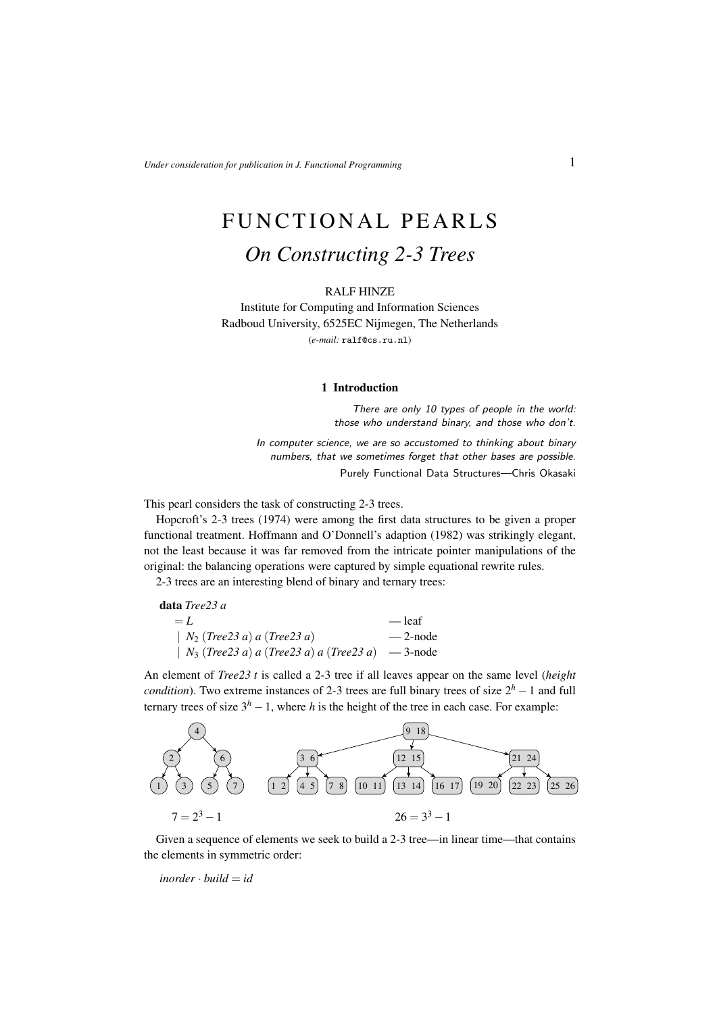# FUNCTIONAL PEARLS *On Constructing 2-3 Trees*

#### RALF HINZE

Institute for Computing and Information Sciences Radboud University, 6525EC Nijmegen, The Netherlands (*e-mail:* ralf@cs.ru.nl)

#### 1 Introduction

There are only 10 types of people in the world: those who understand binary, and those who don't.

In computer science, we are so accustomed to thinking about binary numbers, that we sometimes forget that other bases are possible. Purely Functional Data Structures—Chris Okasaki

This pearl considers the task of constructing 2-3 trees.

Hopcroft's 2-3 trees (1974) were among the first data structures to be given a proper functional treatment. Hoffmann and O'Donnell's adaption (1982) was strikingly elegant, not the least because it was far removed from the intricate pointer manipulations of the original: the balancing operations were captured by simple equational rewrite rules.

2-3 trees are an interesting blend of binary and ternary trees:

| <b>data</b> <i>Tree23 a</i>                             |            |
|---------------------------------------------------------|------------|
| $= L$                                                   | — leaf     |
| $ N_2$ (Tree23 a) a (Tree23 a)                          | $-2$ -node |
| $\mid N_3$ (Tree23 a) a (Tree23 a) a (Tree23 a) -3-node |            |

An element of *Tree23 t* is called a 2-3 tree if all leaves appear on the same level (*height condition*). Two extreme instances of 2-3 trees are full binary trees of size  $2<sup>h</sup> - 1$  and full ternary trees of size  $3<sup>h</sup> - 1$ , where *h* is the height of the tree in each case. For example:



Given a sequence of elements we seek to build a 2-3 tree—in linear time—that contains the elements in symmetric order:

 $inorder \cdot build = id$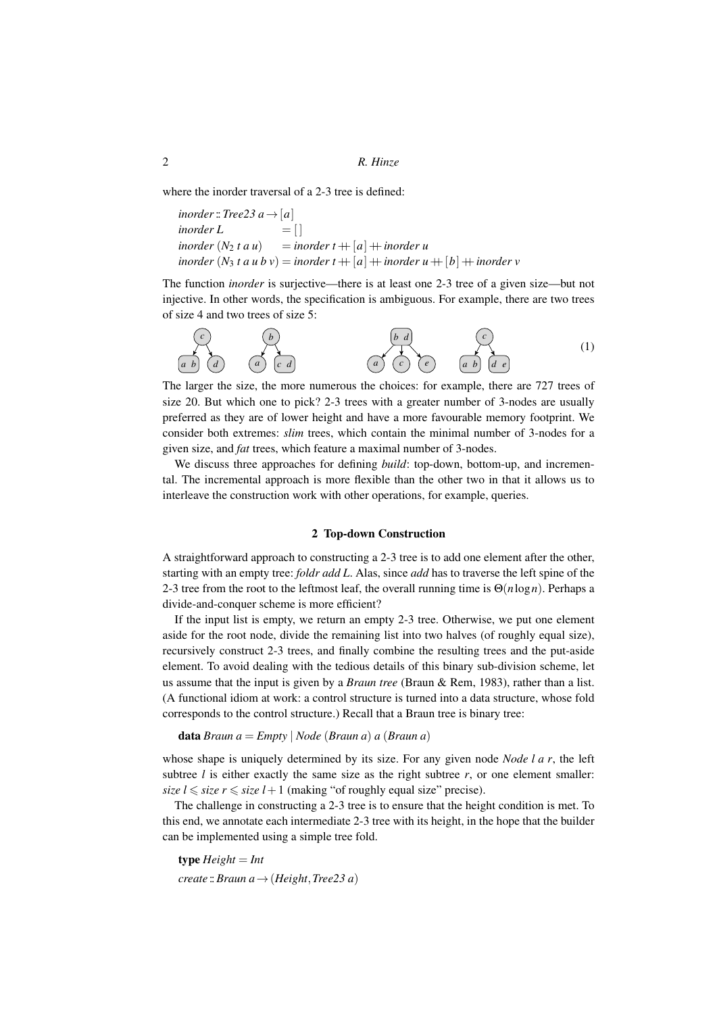where the inorder traversal of a 2-3 tree is defined:

```
inorder:: Tree23 a \rightarrow [a]\text{inorder } L = [\intinorder (N_2 t a u) = inorder t + |a| + inorder u
inorder (N_3 t a u b v) = inorder t ++ [a] + inorder u ++ [b] + inorder v
```
The function *inorder* is surjective—there is at least one 2-3 tree of a given size—but not injective. In other words, the specification is ambiguous. For example, there are two trees of size 4 and two trees of size 5:



The larger the size, the more numerous the choices: for example, there are 727 trees of size 20. But which one to pick? 2-3 trees with a greater number of 3-nodes are usually preferred as they are of lower height and have a more favourable memory footprint. We consider both extremes: *slim* trees, which contain the minimal number of 3-nodes for a given size, and *fat* trees, which feature a maximal number of 3-nodes.

We discuss three approaches for defining *build*: top-down, bottom-up, and incremental. The incremental approach is more flexible than the other two in that it allows us to interleave the construction work with other operations, for example, queries.

## 2 Top-down Construction

A straightforward approach to constructing a 2-3 tree is to add one element after the other, starting with an empty tree: *foldr add L*. Alas, since *add* has to traverse the left spine of the 2-3 tree from the root to the leftmost leaf, the overall running time is Θ(*n*log*n*). Perhaps a divide-and-conquer scheme is more efficient?

If the input list is empty, we return an empty 2-3 tree. Otherwise, we put one element aside for the root node, divide the remaining list into two halves (of roughly equal size), recursively construct 2-3 trees, and finally combine the resulting trees and the put-aside element. To avoid dealing with the tedious details of this binary sub-division scheme, let us assume that the input is given by a *Braun tree* (Braun & Rem, 1983), rather than a list. (A functional idiom at work: a control structure is turned into a data structure, whose fold corresponds to the control structure.) Recall that a Braun tree is binary tree:

```
data Braun a = Empty | Node (Braun a) a (Braun a)
```
whose shape is uniquely determined by its size. For any given node *Node l a r*, the left subtree  $l$  is either exactly the same size as the right subtree  $r$ , or one element smaller: *size l*  $\leq$  *size r*  $\leq$  *size l* + 1 (making "of roughly equal size" precise).

The challenge in constructing a 2-3 tree is to ensure that the height condition is met. To this end, we annotate each intermediate 2-3 tree with its height, in the hope that the builder can be implemented using a simple tree fold.

 ${type Height = Int}$ *create* ::*Braun a*→(*Height*,*Tree23 a*)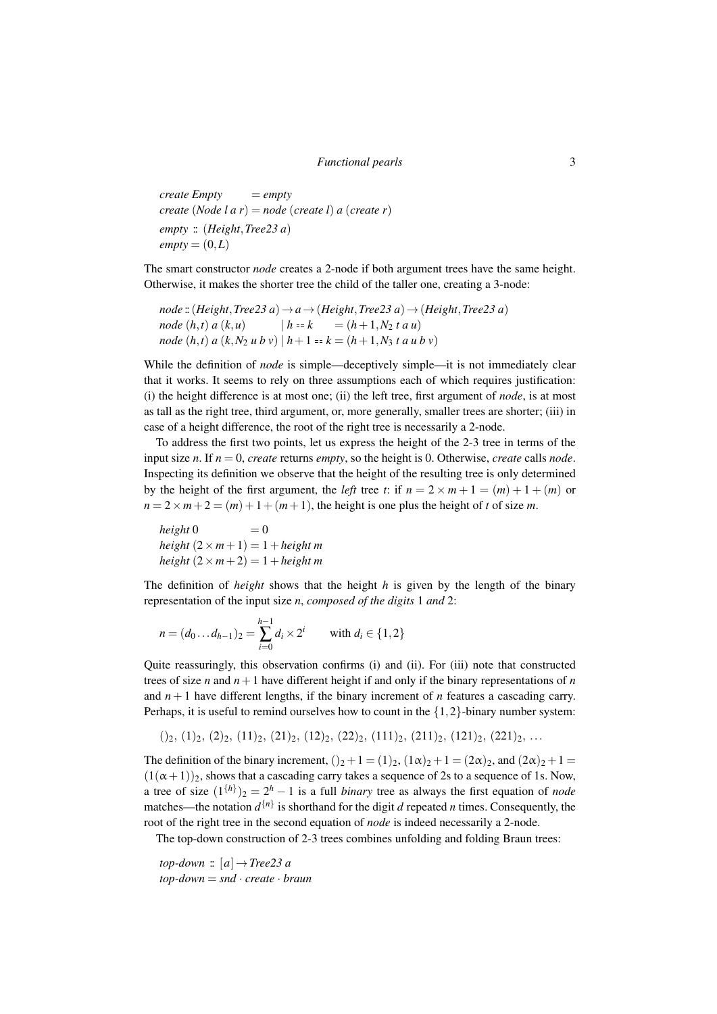*create Empty* = *empty create* (*Node l a r*) = *node* (*create l*) *a* (*create r*) *empty* :: (*Height*,*Tree23 a*)  $empty = (0,L)$ 

The smart constructor *node* creates a 2-node if both argument trees have the same height. Otherwise, it makes the shorter tree the child of the taller one, creating a 3-node:

 $node$  :: ( $Height, Tree23 a) \rightarrow a \rightarrow (Height, Tree23 a) \rightarrow (Height, Tree23 a)$ *node*  $(h, t)$  *a*  $(k, u)$   $|h = k$  =  $(h + 1, N_2 t a u)$ *node*  $(h, t)$  *a*  $(k, N_2 u b v)$   $|h + 1 = k = (h + 1, N_3 t a u b v)$ 

While the definition of *node* is simple—deceptively simple—it is not immediately clear that it works. It seems to rely on three assumptions each of which requires justification: (i) the height difference is at most one; (ii) the left tree, first argument of *node*, is at most as tall as the right tree, third argument, or, more generally, smaller trees are shorter; (iii) in case of a height difference, the root of the right tree is necessarily a 2-node.

To address the first two points, let us express the height of the 2-3 tree in terms of the input size *n*. If *n* = 0, *create* returns *empty*, so the height is 0. Otherwise, *create* calls *node*. Inspecting its definition we observe that the height of the resulting tree is only determined by the height of the first argument, the *left* tree *t*: if  $n = 2 \times m + 1 = (m) + 1 + (m)$  or  $n = 2 \times m + 2 = (m) + 1 + (m + 1)$ , the height is one plus the height of *t* of size *m*.

 $height 0 = 0$  $height (2 \times m + 1) = 1 + height m$  $height (2 \times m + 2) = 1 + height m$ 

The definition of *height* shows that the height *h* is given by the length of the binary representation of the input size *n*, *composed of the digits* 1 *and* 2:

$$
n = (d_0 \dots d_{h-1})_2 = \sum_{i=0}^{h-1} d_i \times 2^i \quad \text{with } d_i \in \{1, 2\}
$$

Quite reassuringly, this observation confirms (i) and (ii). For (iii) note that constructed trees of size *n* and  $n+1$  have different height if and only if the binary representations of *n* and  $n+1$  have different lengths, if the binary increment of *n* features a cascading carry. Perhaps, it is useful to remind ourselves how to count in the  $\{1,2\}$ -binary number system:

$$
()_2, (1)_2, (2)_2, (11)_2, (21)_2, (12)_2, (22)_2, (111)_2, (211)_2, (121)_2, (221)_2, \ldots
$$

The definition of the binary increment,  $(2 + 1 = (1)2, (1\alpha)2 + 1 = (2\alpha)2$ , and  $(2\alpha)2 + 1 =$  $(1(\alpha+1))_2$ , shows that a cascading carry takes a sequence of 2s to a sequence of 1s. Now, a tree of size  $(1^{\{h\}})_2 = 2^h - 1$  is a full *binary* tree as always the first equation of *node* matches—the notation  $d^{n}$  is shorthand for the digit *d* repeated *n* times. Consequently, the root of the right tree in the second equation of *node* is indeed necessarily a 2-node.

The top-down construction of 2-3 trees combines unfolding and folding Braun trees:

*top-down* ::  $[a] \rightarrow Tree23 a$ *top-down* = *snd* · *create* · *braun*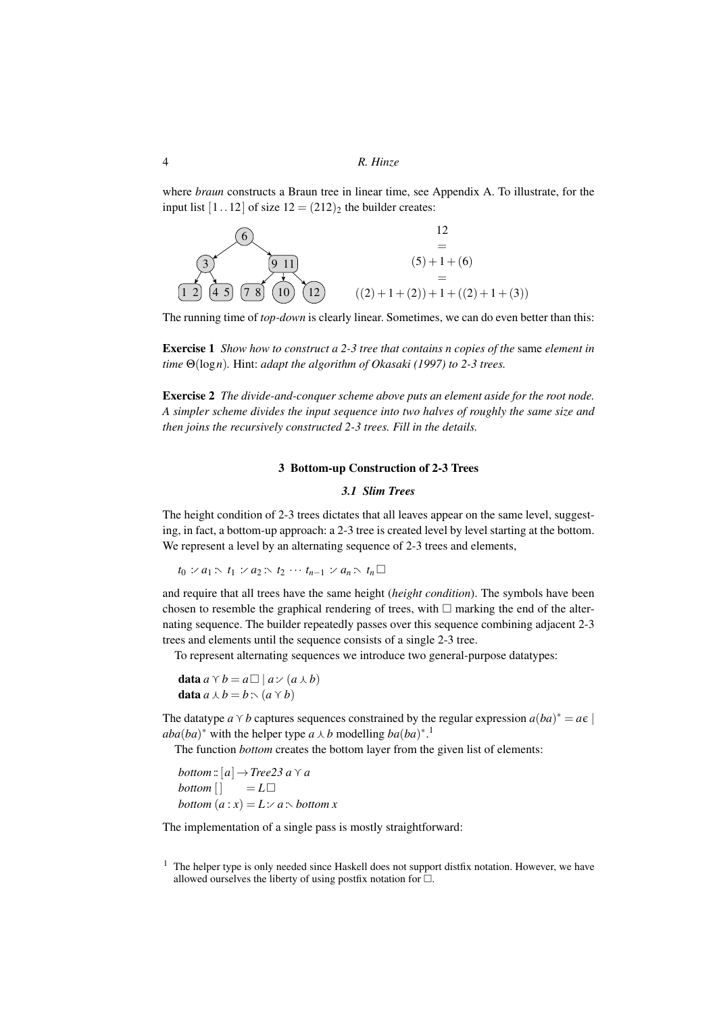where *braun* constructs a Braun tree in linear time, see Appendix A. To illustrate, for the input list  $[1..12]$  of size  $12 = (212)_2$  the builder creates:



The running time of *top-down* is clearly linear. Sometimes, we can do even better than this:

Exercise 1 *Show how to construct a 2-3 tree that contains n copies of the* same *element in time* Θ(log*n*)*.* Hint: *adapt the algorithm of Okasaki (1997) to 2-3 trees.*

Exercise 2 *The divide-and-conquer scheme above puts an element aside for the root node. A simpler scheme divides the input sequence into two halves of roughly the same size and then joins the recursively constructed 2-3 trees. Fill in the details.*

### 3 Bottom-up Construction of 2-3 Trees

#### *3.1 Slim Trees*

The height condition of 2-3 trees dictates that all leaves appear on the same level, suggesting, in fact, a bottom-up approach: a 2-3 tree is created level by level starting at the bottom. We represent a level by an alternating sequence of 2-3 trees and elements,

*t*<sub>0</sub> :*⁄ a*<sub>1</sub> :∖ *t*<sub>1</sub> :*⁄ a*<sub>2</sub> :∖ *t*<sub>2</sub> ··· *t*<sub>*n*−1</sub> :*⁄ a*<sub>*n*</sub> :∖ *t*<sub>*n*</sub> $\Box$ 

and require that all trees have the same height (*height condition*). The symbols have been chosen to resemble the graphical rendering of trees, with  $\Box$  marking the end of the alternating sequence. The builder repeatedly passes over this sequence combining adjacent 2-3 trees and elements until the sequence consists of a single 2-3 tree.

To represent alternating sequences we introduce two general-purpose datatypes:

data  $a \vee b = a \square | a : (a \wedge b)$ **data**  $a \land b = b$  : \land (a \land b)

The datatype *a*  $\gamma$  *b* captures sequences constrained by the regular expression *a*(*ba*)<sup>\*</sup> = *a*  $\epsilon$  $aba(ba)^*$  with the helper type  $a \wedge b$  modelling  $ba(ba)^*$ <sup>1</sup>

The function *bottom* creates the bottom layer from the given list of elements:

*bottom*:: $[a] \rightarrow Tree23 \, a \, \gamma \, a$ *bottom* [ ] = *L bottom*  $(a : x) = L : A : b$ *ottom x* 

The implementation of a single pass is mostly straightforward:

 $<sup>1</sup>$  The helper type is only needed since Haskell does not support distfix notation. However, we have</sup> allowed ourselves the liberty of using postfix notation for  $\hat{\Box}$ .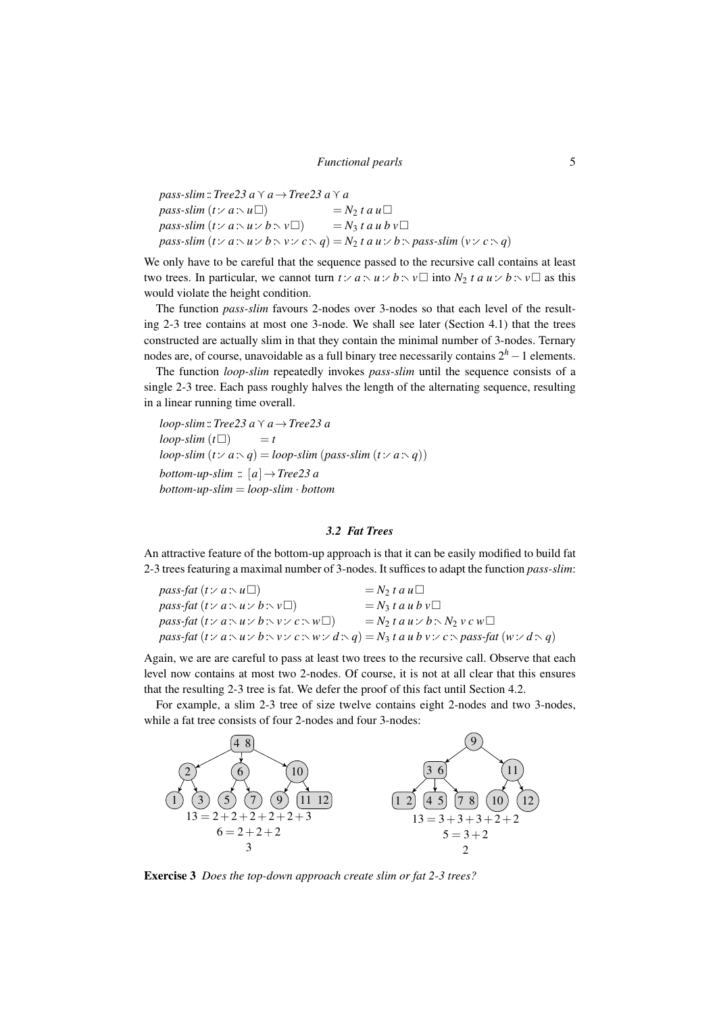*pass-slim*:: *Tree23 a*  $\gamma$  *a*  $\rightarrow$  *Tree23 a*  $\gamma$  *a*  $pass\text{-}slim(t: a \setminus u \square)$  = *N*<sub>2</sub> *t a u* $\square$  $pass\text{-}slim(t: a\land u\lor b\land v\Box)$  =  $N_3$  *t a u b v* $\Box$ *pass-slim*  $(t \times a \times u \times b \times v \times c \times q) = N_2 t a u \times b \times pass\text{-}slim (v \times c \times q)$ 

We only have to be careful that the sequence passed to the recursive call contains at least two trees. In particular, we cannot turn  $t : a : u : b : v \square$  into  $N_2$  *t a u* :⁄  $b : v \square$  as this would violate the height condition.

The function *pass-slim* favours 2-nodes over 3-nodes so that each level of the resulting 2-3 tree contains at most one 3-node. We shall see later (Section 4.1) that the trees constructed are actually slim in that they contain the minimal number of 3-nodes. Ternary nodes are, of course, unavoidable as a full binary tree necessarily contains 2*<sup>h</sup>* −1 elements.

The function *loop-slim* repeatedly invokes *pass-slim* until the sequence consists of a single 2-3 tree. Each pass roughly halves the length of the alternating sequence, resulting in a linear running time overall.

*loop-slim*::*Tree23 a*g*a*→*Tree23 a*  $loop\text{-}slim(t\Box)$  = *t*  $loop\text{-}slim(t:\langle a\cdot q\rangle) = loop\text{-}slim(pass\text{-}slim(t:\langle a\cdot q\rangle))$ *bottom-up-slim*  $:: [a] \rightarrow Tree23 a$ *bottom-up-slim* = *loop-slim* · *bottom*

#### *3.2 Fat Trees*

An attractive feature of the bottom-up approach is that it can be easily modified to build fat 2-3 trees featuring a maximal number of 3-nodes. It suffices to adapt the function *pass-slim*:

| <i>pass-fat</i> $(t: a: u \square)$                                                                                                       | $=N_2 t a u$                  |
|-------------------------------------------------------------------------------------------------------------------------------------------|-------------------------------|
| <i>pass-fat</i> $(t: a \land u: b \land v \Box)$                                                                                          | $=N_3 t a u b v$              |
| <i>pass-fat</i> $(t: a : u : b : v : c : w$                                                                                               | $= N_2 t a u : b : N_2 v c w$ |
| pass-fat $(t \vee a \wedge u \vee b \wedge v \vee c \wedge w \vee d \wedge q) = N_3 t a u b v \vee c \wedge pass-fat (w \vee d \wedge q)$ |                               |

Again, we are are careful to pass at least two trees to the recursive call. Observe that each level now contains at most two 2-nodes. Of course, it is not at all clear that this ensures that the resulting 2-3 tree is fat. We defer the proof of this fact until Section 4.2.

For example, a slim 2-3 tree of size twelve contains eight 2-nodes and two 3-nodes, while a fat tree consists of four 2-nodes and four 3-nodes:



Exercise 3 *Does the top-down approach create slim or fat 2-3 trees?*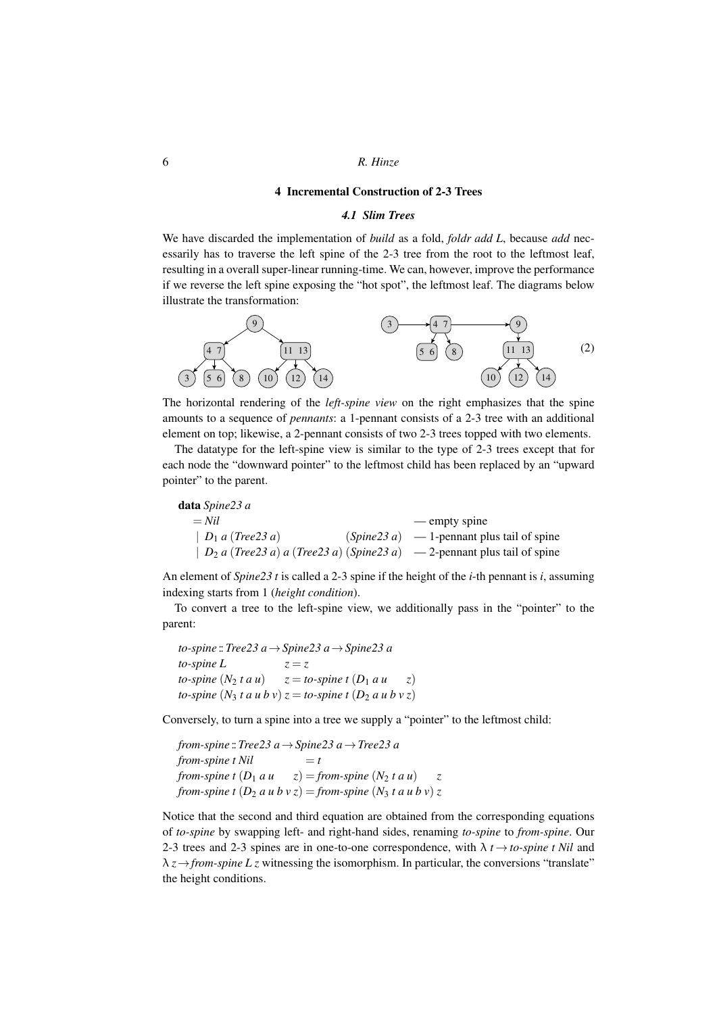#### 4 Incremental Construction of 2-3 Trees

#### *4.1 Slim Trees*

We have discarded the implementation of *build* as a fold, *foldr add L*, because *add* necessarily has to traverse the left spine of the 2-3 tree from the root to the leftmost leaf, resulting in a overall super-linear running-time. We can, however, improve the performance if we reverse the left spine exposing the "hot spot", the leftmost leaf. The diagrams below illustrate the transformation:



The horizontal rendering of the *left-spine view* on the right emphasizes that the spine amounts to a sequence of *pennants*: a 1-pennant consists of a 2-3 tree with an additional element on top; likewise, a 2-pennant consists of two 2-3 trees topped with two elements.

The datatype for the left-spine view is similar to the type of 2-3 trees except that for each node the "downward pointer" to the leftmost child has been replaced by an "upward pointer" to the parent.

| <b>data</b> Spine23 a |                                                                                |
|-----------------------|--------------------------------------------------------------------------------|
| $=$ Nil               | — empty spine                                                                  |
| $D_1$ a (Tree23 a)    | $(Spine23 a) = 1$ -pennant plus tail of spine                                  |
|                       | $ D_2 a (Tree23 a) a (Tree23 a) (Spine23 a) \t -2$ -pennant plus tail of spine |

An element of *Spine23 t* is called a 2-3 spine if the height of the *i*-th pennant is *i*, assuming indexing starts from 1 (*height condition*).

To convert a tree to the left-spine view, we additionally pass in the "pointer" to the parent:

*to-spine* ::*Tree23 a*→*Spine23 a*→*Spine23 a to-spine*  $L$   $z = z$ *to-spine*  $(N_2 t a u)$   $z = to$ *-spine*  $t (D_1 a u z)$ *to-spine*  $(N_3 t a u b v) z = to$ -spine  $t (D_2 a u b v z)$ 

Conversely, to turn a spine into a tree we supply a "pointer" to the leftmost child:

*from-spine* ::*Tree23 a*→*Spine23 a*→*Tree23 a*  $from \text{-}spine t$   $Nil \qquad \qquad = t$ *from-spine t*  $(D_1 \, a \, u \quad z) =$  *from-spine*  $(N_2 \, t \, a \, u) \quad z$ *from-spine t*  $(D_2 \ a \ u \ b \ v \ z) = from-spine \ (N_3 \ t \ a \ u \ b \ v) \ z$ 

Notice that the second and third equation are obtained from the corresponding equations of *to-spine* by swapping left- and right-hand sides, renaming *to-spine* to *from-spine*. Our 2-3 trees and 2-3 spines are in one-to-one correspondence, with  $\lambda t \rightarrow$  *to-spine t Nil* and  $\lambda z \rightarrow$ *from-spine L z* witnessing the isomorphism. In particular, the conversions "translate" the height conditions.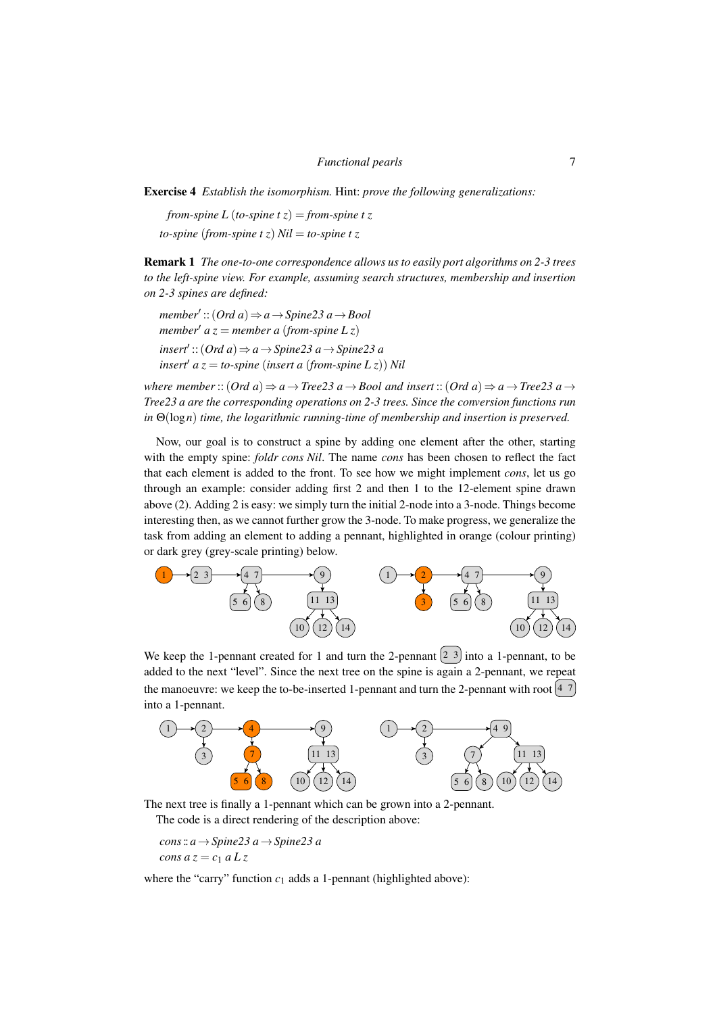Exercise 4 *Establish the isomorphism.* Hint: *prove the following generalizations:*

*from-spine L* (*to-spine t z*) = *from-spine t z to-spine* (*from-spine*  $t \bar{z}$ )  $Nil =$  *to-spine*  $t \bar{z}$ 

Remark 1 *The one-to-one correspondence allows us to easily port algorithms on 2-3 trees to the left-spine view. For example, assuming search structures, membership and insertion on 2-3 spines are defined:*

*member*<sup>0</sup> ::(*Ord a*)⇒*a*→*Spine23 a*→*Bool member<sup>* $\prime$ *</sup> a z* = *member a* (*from-spine L z*) *insert*<sup>0</sup> ::(*Ord a*)⇒*a*→*Spine23 a*→*Spine23 a insert*<sup> $\alpha$ </sup> *a z* = *to-spine* (*insert a* (*from-spine L z*)) *Nil* 

*where member*:: $(Ord \ a) \Rightarrow a \rightarrow Tree23 \ a \rightarrow Bool \ and \ insert:$ : $(Ord \ a) \Rightarrow a \rightarrow Tree23 \ a \rightarrow$ *Tree23 a are the corresponding operations on 2-3 trees. Since the conversion functions run in* Θ(log*n*) *time, the logarithmic running-time of membership and insertion is preserved.*

Now, our goal is to construct a spine by adding one element after the other, starting with the empty spine: *foldr cons Nil*. The name *cons* has been chosen to reflect the fact that each element is added to the front. To see how we might implement *cons*, let us go through an example: consider adding first 2 and then 1 to the 12-element spine drawn above (2). Adding 2 is easy: we simply turn the initial 2-node into a 3-node. Things become interesting then, as we cannot further grow the 3-node. To make progress, we generalize the task from adding an element to adding a pennant, highlighted in orange (colour printing) or dark grey (grey-scale printing) below.



We keep the 1-pennant created for 1 and turn the 2-pennant  $\left(2, 3\right)$  into a 1-pennant, to be added to the next "level". Since the next tree on the spine is again a 2-pennant, we repeat the manoeuvre: we keep the to-be-inserted 1-pennant and turn the 2-pennant with root  $\left[4, 7\right]$ into a 1-pennant.



The next tree is finally a 1-pennant which can be grown into a 2-pennant. The code is a direct rendering of the description above:

*cons*:: *a*→*Spine23 a*→*Spine23 a cons a*  $z = c_1 a L z$ 

where the "carry" function  $c_1$  adds a 1-pennant (highlighted above):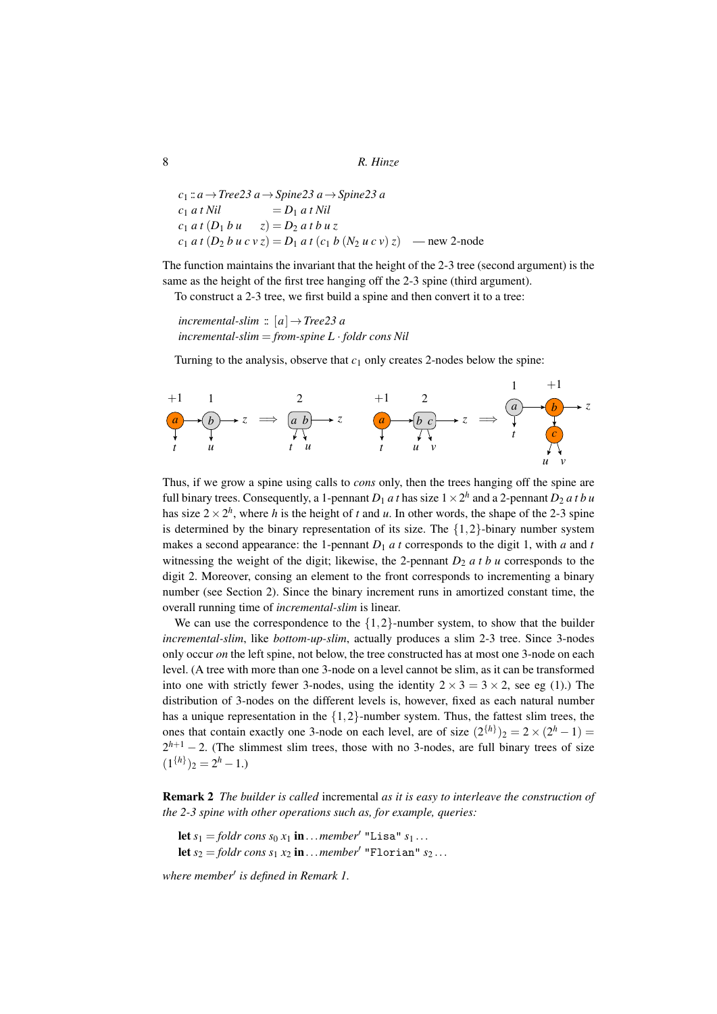```
c1 :: a→Tree23 a→Spine23 a→Spine23 a
c_1 a t N i l = D_1 a t N i lc_1 a t (D_1 b u z) = D_2 a t b u zc_1 a t (D<sub>2</sub> b u c v z) = D<sub>1</sub> a t (c<sub>1</sub> b (N<sub>2</sub> u c v) z) — new 2-node
```
The function maintains the invariant that the height of the 2-3 tree (second argument) is the same as the height of the first tree hanging off the 2-3 spine (third argument).

To construct a 2-3 tree, we first build a spine and then convert it to a tree:

*incremental-slim*  $:: [a] \rightarrow Tree23 a$ *incremental-slim* = *from-spine L* · *foldr cons Nil*

Turning to the analysis, observe that  $c_1$  only creates 2-nodes below the spine:



Thus, if we grow a spine using calls to *cons* only, then the trees hanging off the spine are full binary trees. Consequently, a 1-pennant  $D_1$  *at* has size  $1 \times 2^h$  and a 2-pennant  $D_2$  *at b u* has size  $2 \times 2^h$ , where *h* is the height of *t* and *u*. In other words, the shape of the 2-3 spine is determined by the binary representation of its size. The  $\{1,2\}$ -binary number system makes a second appearance: the 1-pennant  $D_1$  *at* corresponds to the digit 1, with *a* and *t* witnessing the weight of the digit; likewise, the 2-pennant  $D_2$  *a t b u* corresponds to the digit 2. Moreover, consing an element to the front corresponds to incrementing a binary number (see Section 2). Since the binary increment runs in amortized constant time, the overall running time of *incremental-slim* is linear.

We can use the correspondence to the  $\{1,2\}$ -number system, to show that the builder *incremental-slim*, like *bottom-up-slim*, actually produces a slim 2-3 tree. Since 3-nodes only occur *on* the left spine, not below, the tree constructed has at most one 3-node on each level. (A tree with more than one 3-node on a level cannot be slim, as it can be transformed into one with strictly fewer 3-nodes, using the identity  $2 \times 3 = 3 \times 2$ , see eg (1).) The distribution of 3-nodes on the different levels is, however, fixed as each natural number has a unique representation in the  $\{1,2\}$ -number system. Thus, the fattest slim trees, the ones that contain exactly one 3-node on each level, are of size  $(2^{h})_2 = 2 \times (2^h - 1) =$  $2^{h+1}$  – 2. (The slimmest slim trees, those with no 3-nodes, are full binary trees of size  $(1^{\{h\}})_2 = 2^h - 1.$ 

Remark 2 *The builder is called* incremental *as it is easy to interleave the construction of the 2-3 spine with other operations such as, for example, queries:*

let  $s_1 =$  *foldr cons*  $s_0 x_1$  **in**...*member*<sup> $\prime$ </sup> "Lisa"  $s_1$ ... let  $s_2 =$  *foldr cons*  $s_1$   $x_2$  in...*member*<sup>'</sup> "Florian"  $s_2$ ...

where member<sup>'</sup> is defined in Remark 1.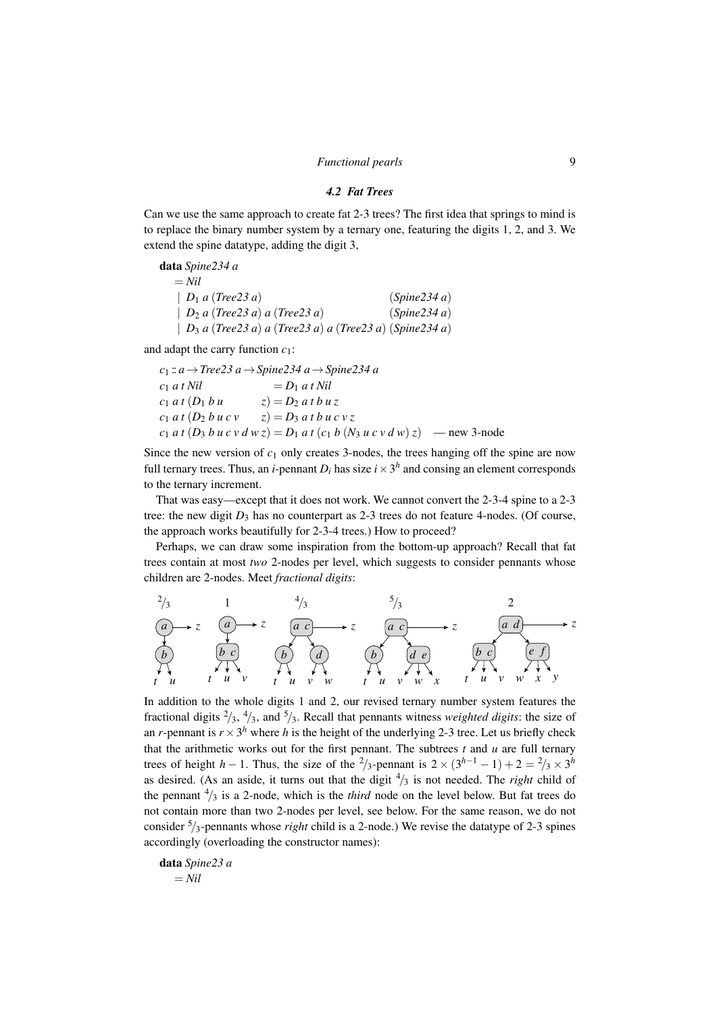#### *4.2 Fat Trees*

Can we use the same approach to create fat 2-3 trees? The first idea that springs to mind is to replace the binary number system by a ternary one, featuring the digits 1, 2, and 3. We extend the spine datatype, adding the digit 3,

data *Spine234 a*  $=$  *Nil* | *D*<sup>1</sup> *a* (*Tree23 a*) (*Spine234 a*) | *D*<sup>2</sup> *a* (*Tree23 a*) *a* (*Tree23 a*) (*Spine234 a*) | *D*<sup>3</sup> *a* (*Tree23 a*) *a* (*Tree23 a*) *a* (*Tree23 a*) (*Spine234 a*)

and adapt the carry function *c*1:

```
c1 :: a→Tree23 a→Spine234 a→Spine234 a
c_1 a t Nil = D_1 a t Nil
c_1 a t (D_1 b u z) = D_2 a t b u z
c_1 a t (D_2 b u c v z) = D_3 a t b u c v z
c_1 a t (D<sub>3</sub> b u c v d w z) = D<sub>1</sub> a t (c<sub>1</sub> b (N<sub>3</sub> u c v d w) z) — new 3-node
```
Since the new version of  $c_1$  only creates 3-nodes, the trees hanging off the spine are now full ternary trees. Thus, an *i*-pennant  $D_i$  has size  $i \times 3^h$  and consing an element corresponds to the ternary increment.

That was easy—except that it does not work. We cannot convert the 2-3-4 spine to a 2-3 tree: the new digit  $D_3$  has no counterpart as 2-3 trees do not feature 4-nodes. (Of course, the approach works beautifully for 2-3-4 trees.) How to proceed?

Perhaps, we can draw some inspiration from the bottom-up approach? Recall that fat trees contain at most *two* 2-nodes per level, which suggests to consider pennants whose children are 2-nodes. Meet *fractional digits*:

*a b t u z* 2/3 *a b c t u v z* 1 *a c b t u d v w z* 4/3 *a c b t u d e v w x z* 5/3 *a d b c t u v e f w x y z* 2

In addition to the whole digits 1 and 2, our revised ternary number system features the fractional digits  $\frac{2}{3}$ ,  $\frac{4}{3}$ , and  $\frac{5}{3}$ . Recall that pennants witness *weighted digits*: the size of an *r*-pennant is  $r \times 3^h$  where *h* is the height of the underlying 2-3 tree. Let us briefly check that the arithmetic works out for the first pennant. The subtrees  $t$  and  $u$  are full ternary trees of height *h* − 1. Thus, the size of the <sup>2</sup>/<sub>3</sub>-pennant is  $2 \times (3^{h-1} - 1) + 2 = \frac{2}{3} \times 3^h$ as desired. (As an aside, it turns out that the digit  $\frac{4}{3}$  is not needed. The *right* child of the pennant  $\frac{4}{3}$  is a 2-node, which is the *third* node on the level below. But fat trees do not contain more than two 2-nodes per level, see below. For the same reason, we do not consider <sup>5</sup>/3-pennants whose *right* child is a 2-node.) We revise the datatype of 2-3 spines accordingly (overloading the constructor names):

$$
\begin{aligned} \textbf{data } \textit{Spine23 a} \\ &= \textit{Nil} \end{aligned}
$$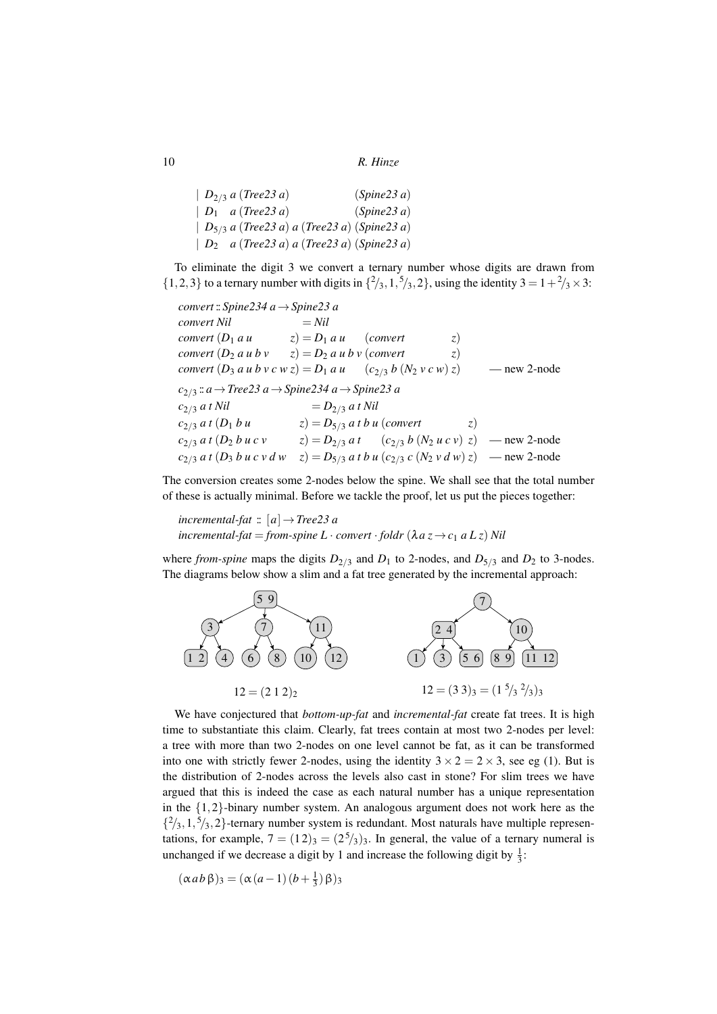```
| D2/3 a (Tree23 a) (Spine23 a)
| D1 a (Tree23 a) (Spine23 a)
| D5/3 a (Tree23 a) a (Tree23 a) (Spine23 a)
| D2 a (Tree23 a) a (Tree23 a) (Spine23 a)
```
To eliminate the digit 3 we convert a ternary number whose digits are drawn from  $\{1,2,3\}$  to a ternary number with digits in  $\{2/3, 1, 5/3, 2\}$ , using the identity  $3 = 1 + 2/3 \times 3$ :

*convert* :: *Spine234 a*→*Spine23 a*  $convert$  *Nil*  $=$  *Nil convert*  $(D_1 \, a \, u \qquad z) = D_1 \, a \, u \qquad (convert \qquad z)$ *convert*  $(D_2 a u b v \t z) = D_2 a u b v$  (*convert* z) *convert*  $(D_3 a u b v c w z) = D_1 a u$   $(c_{2/3} b (N_2 v c w) z)$  — new 2-node *c*2/<sup>3</sup> :: *a*→*Tree23 a*→*Spine234 a*→*Spine23 a*  $c_{2/3} a t$  *Nil*  $= D_{2/3} a t$  *Nil*  $c_{2/3}$  *a t* (*D*<sub>1</sub> *b u*  $z$ ) = *D*<sub>5/3</sub> *a t b u* (*convert z*)<br> $c_{2/3}$  *a t* (*D*<sub>2</sub> *b u c v*  $z$ ) = *D*<sub>2/3</sub> *a t* (*c*<sub>2/3</sub> *b* (*N*<sub>2</sub> *u c v*) *z*)  $(z) = D_{2/3} a t$   $(c_{2/3} b (N_2 u c v) z)$  — new 2-node  $c_{2/3}$  *a t*  $(D_3$  *b u c v d w*  $z) = D_{5/3}$  *a t b u*  $(c_{2/3}$  *c*  $(N_2$  *v d w* $)$  *z*) — new 2-node

The conversion creates some 2-nodes below the spine. We shall see that the total number of these is actually minimal. Before we tackle the proof, let us put the pieces together:

*incremental-fat*  $:: [a] \rightarrow Tree23 a$ *incremental-fat* = *from-spine*  $L \cdot$  *convert*  $\cdot$  *foldr* ( $\lambda a z \rightarrow c_1 a L z$ ) Nil

where *from-spine* maps the digits  $D_{2/3}$  and  $D_1$  to 2-nodes, and  $D_{5/3}$  and  $D_2$  to 3-nodes. The diagrams below show a slim and a fat tree generated by the incremental approach:



We have conjectured that *bottom-up-fat* and *incremental-fat* create fat trees. It is high time to substantiate this claim. Clearly, fat trees contain at most two 2-nodes per level: a tree with more than two 2-nodes on one level cannot be fat, as it can be transformed into one with strictly fewer 2-nodes, using the identity  $3 \times 2 = 2 \times 3$ , see eg (1). But is the distribution of 2-nodes across the levels also cast in stone? For slim trees we have argued that this is indeed the case as each natural number has a unique representation in the {1,2}-binary number system. An analogous argument does not work here as the  $\{^2/3, 1, \frac{5}{3}, 2\}$ -ternary number system is redundant. Most naturals have multiple representations, for example,  $7 = (12)_3 = (2^5/3)_3$ . In general, the value of a ternary numeral is unchanged if we decrease a digit by 1 and increase the following digit by  $\frac{1}{3}$ :

$$
(\alpha ab \beta)_3 = (\alpha (a-1) (b+\frac{1}{3}) \beta)_3
$$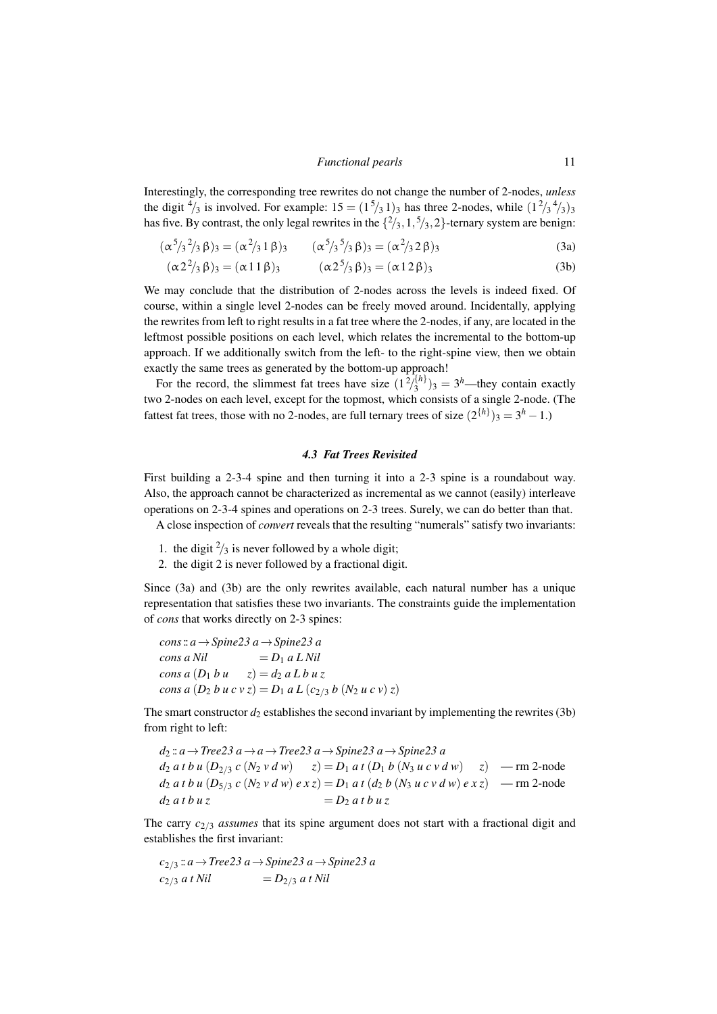Interestingly, the corresponding tree rewrites do not change the number of 2-nodes, *unless* the digit  $\frac{4}{3}$  is involved. For example:  $15 = (1^5/3^1)^3$  has three 2-nodes, while  $(1^2/3^4/3)^3$ has five. By contrast, the only legal rewrites in the  $\{2/3, 1, 5/3, 2\}$ -ternary system are benign:

$$
(\alpha^5/3^2/3 \beta)_3 = (\alpha^2/3 1 \beta)_3 \qquad (\alpha^5/3^5/3 \beta)_3 = (\alpha^2/3 2 \beta)_3
$$
 (3a)

$$
(\alpha 2^2 /_{3} \beta)_3 = (\alpha 11 \beta)_3 \qquad (\alpha 2^5 /_{3} \beta)_3 = (\alpha 12 \beta)_3 \qquad (3b)
$$

We may conclude that the distribution of 2-nodes across the levels is indeed fixed. Of course, within a single level 2-nodes can be freely moved around. Incidentally, applying the rewrites from left to right results in a fat tree where the 2-nodes, if any, are located in the leftmost possible positions on each level, which relates the incremental to the bottom-up approach. If we additionally switch from the left- to the right-spine view, then we obtain exactly the same trees as generated by the bottom-up approach!

For the record, the slimmest fat trees have size  $(1^2)^{\{h\}}_3$  $(3^{h})_3 = 3^h$ —they contain exactly two 2-nodes on each level, except for the topmost, which consists of a single 2-node. (The fattest fat trees, those with no 2-nodes, are full ternary trees of size  $(2^{h})_3 = 3^h - 1$ .

## *4.3 Fat Trees Revisited*

First building a 2-3-4 spine and then turning it into a 2-3 spine is a roundabout way. Also, the approach cannot be characterized as incremental as we cannot (easily) interleave operations on 2-3-4 spines and operations on 2-3 trees. Surely, we can do better than that.

A close inspection of *convert* reveals that the resulting "numerals" satisfy two invariants:

- 1. the digit  $\frac{2}{3}$  is never followed by a whole digit;
- 2. the digit 2 is never followed by a fractional digit.

Since (3a) and (3b) are the only rewrites available, each natural number has a unique representation that satisfies these two invariants. The constraints guide the implementation of *cons* that works directly on 2-3 spines:

*cons*:: *a*→*Spine23 a*→*Spine23 a*  $cons a Nil = D_1 a L Nil$ *cons a*  $(D_1 b u \ z) = d_2 a L b u z$ *cons a*  $(D_2 b u c v z) = D_1 a L (c_{2/3} b (N_2 u c v) z)$ 

The smart constructor  $d_2$  establishes the second invariant by implementing the rewrites (3b) from right to left:

*d*<sup>2</sup> :: *a*→*Tree23 a*→*a*→*Tree23 a*→*Spine23 a*→*Spine23 a*  $d_2 a t b u (D_{2/3} c (N_2 v d w)$   $z) = D_1 a t (D_1 b (N_3 u c v d w)$   $z)$  — rm 2-node  $d_2 a t b u (D_{5/3} c (N_2 v d w) e x z) = D_1 a t (d_2 b (N_3 u c v d w) e x z)$  — rm 2-node  $d_2 a t b u z = D_2 a t b u z$ 

The carry  $c_{2/3}$  *assumes* that its spine argument does not start with a fractional digit and establishes the first invariant:

*c*2/<sup>3</sup> :: *a*→*Tree23 a*→*Spine23 a*→*Spine23 a*  $c_{2/3} a t$  *Nil*  $= D_{2/3} a t$  *Nil*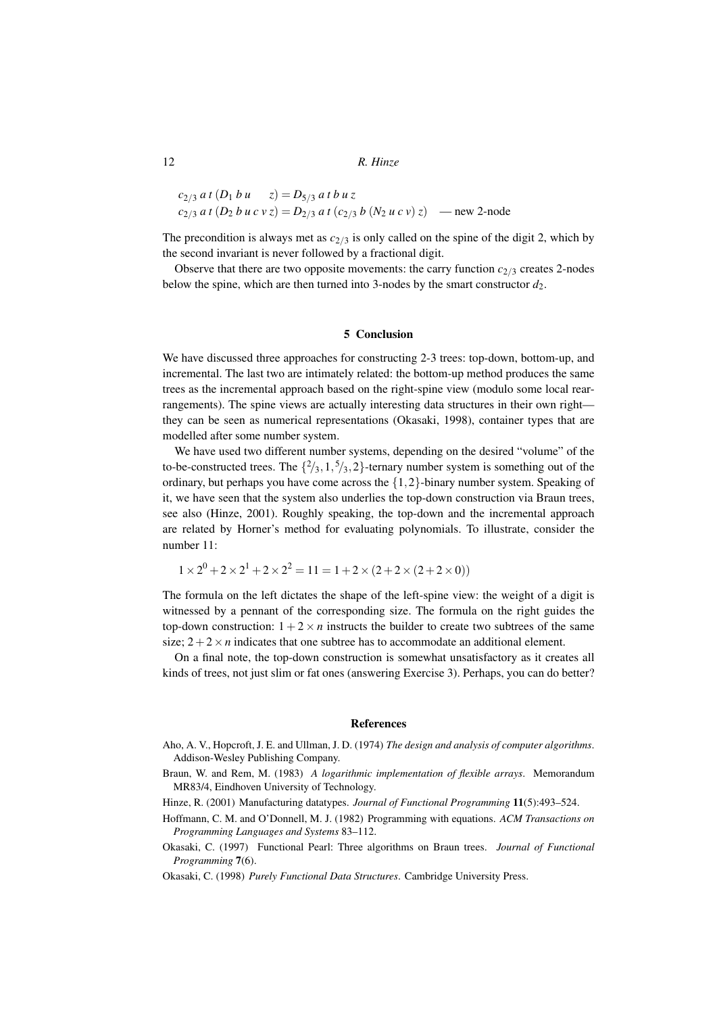$$
c_{2/3} a t (D_1 b u z) = D_{5/3} a t b u z
$$
  
\n
$$
c_{2/3} a t (D_2 b u c v z) = D_{2/3} a t (c_{2/3} b (N_2 u c v) z) \longrightarrow
$$
new 2-node

The precondition is always met as  $c_{2/3}$  is only called on the spine of the digit 2, which by the second invariant is never followed by a fractional digit.

Observe that there are two opposite movements: the carry function  $c_{2/3}$  creates 2-nodes below the spine, which are then turned into 3-nodes by the smart constructor  $d_2$ .

#### 5 Conclusion

We have discussed three approaches for constructing 2-3 trees: top-down, bottom-up, and incremental. The last two are intimately related: the bottom-up method produces the same trees as the incremental approach based on the right-spine view (modulo some local rearrangements). The spine views are actually interesting data structures in their own right they can be seen as numerical representations (Okasaki, 1998), container types that are modelled after some number system.

We have used two different number systems, depending on the desired "volume" of the to-be-constructed trees. The  $\{2/3, 1, 5/3, 2\}$ -ternary number system is something out of the ordinary, but perhaps you have come across the  $\{1,2\}$ -binary number system. Speaking of it, we have seen that the system also underlies the top-down construction via Braun trees, see also (Hinze, 2001). Roughly speaking, the top-down and the incremental approach are related by Horner's method for evaluating polynomials. To illustrate, consider the number 11:

$$
1 \times 2^0 + 2 \times 2^1 + 2 \times 2^2 = 11 = 1 + 2 \times (2 + 2 \times (2 + 2 \times 0))
$$

The formula on the left dictates the shape of the left-spine view: the weight of a digit is witnessed by a pennant of the corresponding size. The formula on the right guides the top-down construction:  $1 + 2 \times n$  instructs the builder to create two subtrees of the same size;  $2+2\times n$  indicates that one subtree has to accommodate an additional element.

On a final note, the top-down construction is somewhat unsatisfactory as it creates all kinds of trees, not just slim or fat ones (answering Exercise 3). Perhaps, you can do better?

#### References

- Aho, A. V., Hopcroft, J. E. and Ullman, J. D. (1974) *The design and analysis of computer algorithms*. Addison-Wesley Publishing Company.
- Braun, W. and Rem, M. (1983) *A logarithmic implementation of flexible arrays*. Memorandum MR83/4, Eindhoven University of Technology.
- Hinze, R. (2001) Manufacturing datatypes. *Journal of Functional Programming* 11(5):493–524.
- Hoffmann, C. M. and O'Donnell, M. J. (1982) Programming with equations. *ACM Transactions on Programming Languages and Systems* 83–112.
- Okasaki, C. (1997) Functional Pearl: Three algorithms on Braun trees. *Journal of Functional Programming* 7(6).
- Okasaki, C. (1998) *Purely Functional Data Structures*. Cambridge University Press.